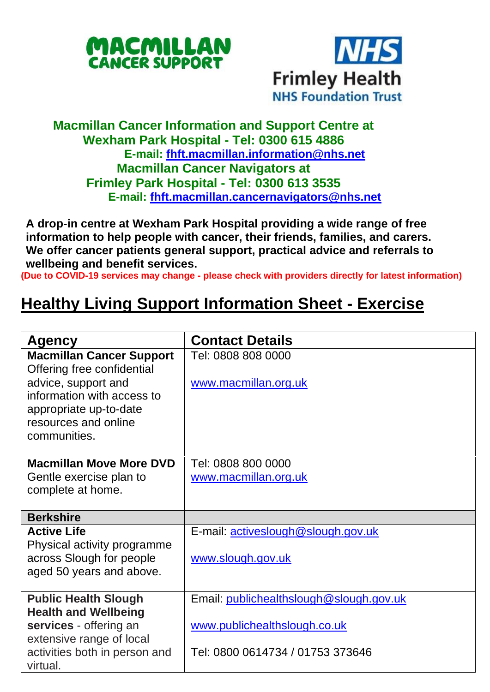



## **Macmillan Cancer Information and Support Centre at Wexham Park Hospital - Tel: 0300 615 4886 E-mail: [fhft.macmillan.information@nhs.net](mailto:fhft.macmillan.information@nhs.net) Macmillan Cancer Navigators at Frimley Park Hospital - Tel: 0300 613 3535 E-mail: [fhft.macmillan.cancernavigators@nhs.net](mailto:fhft.macmillan.cancernavigators@nhs.net)**

**A drop-in centre at Wexham Park Hospital providing a wide range of free information to help people with cancer, their friends, families, and carers. We offer cancer patients general support, practical advice and referrals to wellbeing and benefit services.**

**(Due to COVID-19 services may change - please check with providers directly for latest information)**

## **Healthy Living Support Information Sheet - Exercise**

| Agency                                                        | <b>Contact Details</b>                  |
|---------------------------------------------------------------|-----------------------------------------|
| <b>Macmillan Cancer Support</b><br>Offering free confidential | Tel: 0808 808 0000                      |
| advice, support and                                           | www.macmillan.org.uk                    |
| information with access to                                    |                                         |
| appropriate up-to-date<br>resources and online                |                                         |
| communities.                                                  |                                         |
|                                                               |                                         |
| <b>Macmillan Move More DVD</b>                                | Tel: 0808 800 0000                      |
| Gentle exercise plan to                                       | www.macmillan.org.uk                    |
| complete at home.                                             |                                         |
| <b>Berkshire</b>                                              |                                         |
| <b>Active Life</b>                                            | E-mail: activeslough@slough.gov.uk      |
| Physical activity programme                                   |                                         |
| across Slough for people                                      | www.slough.gov.uk                       |
| aged 50 years and above.                                      |                                         |
|                                                               | Email: publichealthslough@slough.gov.uk |
| <b>Public Health Slough</b><br><b>Health and Wellbeing</b>    |                                         |
| services - offering an                                        | www.publichealthslough.co.uk            |
| extensive range of local                                      |                                         |
| activities both in person and                                 | Tel: 0800 0614734 / 01753 373646        |
| virtual.                                                      |                                         |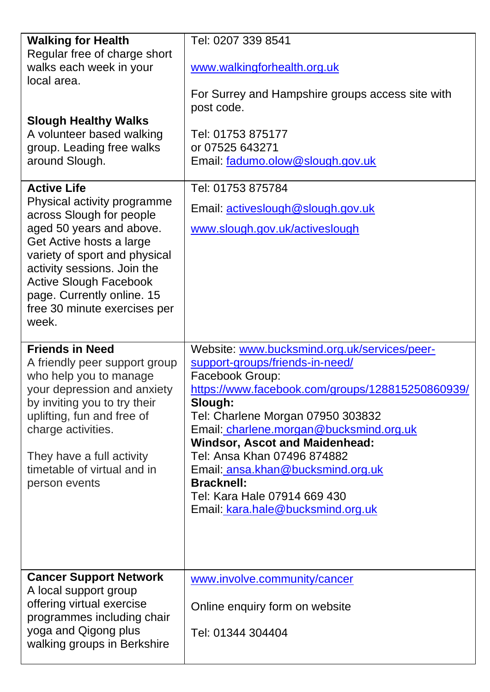| <b>Walking for Health</b><br>Regular free of charge short                                                                                                                                                                    | Tel: 0207 339 8541                                                       |
|------------------------------------------------------------------------------------------------------------------------------------------------------------------------------------------------------------------------------|--------------------------------------------------------------------------|
| walks each week in your<br>local area.                                                                                                                                                                                       | www.walkingforhealth.org.uk                                              |
|                                                                                                                                                                                                                              | For Surrey and Hampshire groups access site with<br>post code.           |
| <b>Slough Healthy Walks</b><br>A volunteer based walking<br>group. Leading free walks<br>around Slough.                                                                                                                      | Tel: 01753 875177<br>or 07525 643271<br>Email: fadumo.olow@slough.gov.uk |
| <b>Active Life</b><br>Physical activity programme                                                                                                                                                                            | Tel: 01753 875784                                                        |
| across Slough for people                                                                                                                                                                                                     | Email: activeslough@slough.gov.uk                                        |
| aged 50 years and above.<br>Get Active hosts a large<br>variety of sport and physical<br>activity sessions. Join the<br><b>Active Slough Facebook</b><br>page. Currently online. 15<br>free 30 minute exercises per<br>week. | www.slough.gov.uk/activeslough                                           |
|                                                                                                                                                                                                                              |                                                                          |
| <b>Friends in Need</b>                                                                                                                                                                                                       | Website: www.bucksmind.org.uk/services/peer-                             |
| A friendly peer support group<br>who help you to manage                                                                                                                                                                      | support-groups/friends-in-need/<br>Facebook Group:                       |
| your depression and anxiety                                                                                                                                                                                                  | https://www.facebook.com/groups/128815250860939/                         |
| by inviting you to try their<br>uplifting, fun and free of                                                                                                                                                                   | Slough:<br>Tel: Charlene Morgan 07950 303832                             |
| charge activities.                                                                                                                                                                                                           | Email: charlene.morgan@bucksmind.org.uk                                  |
| They have a full activity                                                                                                                                                                                                    | Windsor, Ascot and Maidenhead:<br>Tel: Ansa Khan 07496 874882            |
| timetable of virtual and in                                                                                                                                                                                                  | Email: ansa.khan@bucksmind.org.uk                                        |
| person events                                                                                                                                                                                                                | <b>Bracknell:</b><br>Tel: Kara Hale 07914 669 430                        |
|                                                                                                                                                                                                                              | Email: kara.hale@bucksmind.org.uk                                        |
| <b>Cancer Support Network</b>                                                                                                                                                                                                | www.involve.community/cancer                                             |
| A local support group<br>offering virtual exercise<br>programmes including chair<br>yoga and Qigong plus                                                                                                                     | Online enquiry form on website                                           |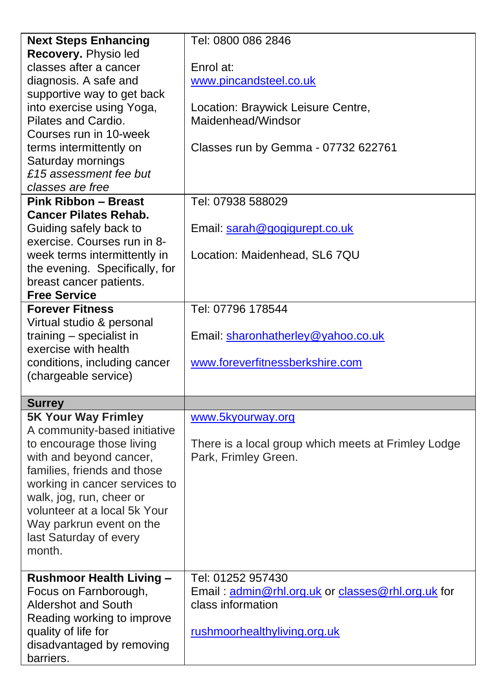| <b>Next Steps Enhancing</b>     | Tel: 0800 086 2846                                  |  |  |
|---------------------------------|-----------------------------------------------------|--|--|
| Recovery. Physio led            |                                                     |  |  |
| classes after a cancer          | Enrol at:                                           |  |  |
| diagnosis. A safe and           | www.pincandsteel.co.uk                              |  |  |
| supportive way to get back      |                                                     |  |  |
| into exercise using Yoga,       | Location: Braywick Leisure Centre,                  |  |  |
| Pilates and Cardio.             | Maidenhead/Windsor                                  |  |  |
| Courses run in 10-week          |                                                     |  |  |
| terms intermittently on         | Classes run by Gemma - 07732 622761                 |  |  |
| Saturday mornings               |                                                     |  |  |
| £15 assessment fee but          |                                                     |  |  |
| classes are free                |                                                     |  |  |
| <b>Pink Ribbon - Breast</b>     | Tel: 07938 588029                                   |  |  |
| <b>Cancer Pilates Rehab.</b>    |                                                     |  |  |
| Guiding safely back to          | Email: sarah@gogigurept.co.uk                       |  |  |
| exercise. Courses run in 8-     |                                                     |  |  |
| week terms intermittently in    | Location: Maidenhead, SL6 7QU                       |  |  |
| the evening. Specifically, for  |                                                     |  |  |
| breast cancer patients.         |                                                     |  |  |
| <b>Free Service</b>             |                                                     |  |  |
| <b>Forever Fitness</b>          | Tel: 07796 178544                                   |  |  |
| Virtual studio & personal       |                                                     |  |  |
| training - specialist in        | Email: sharonhatherley@yahoo.co.uk                  |  |  |
| exercise with health            |                                                     |  |  |
| conditions, including cancer    | www.foreverfitnessberkshire.com                     |  |  |
| (chargeable service)            |                                                     |  |  |
|                                 |                                                     |  |  |
| <b>Surrey</b>                   |                                                     |  |  |
| <b>5K Your Way Frimley</b>      | www.5kyourway.org                                   |  |  |
| A community-based initiative    |                                                     |  |  |
| to encourage those living       | There is a local group which meets at Frimley Lodge |  |  |
| with and beyond cancer,         | Park, Frimley Green.                                |  |  |
| families, friends and those     |                                                     |  |  |
| working in cancer services to   |                                                     |  |  |
| walk, jog, run, cheer or        |                                                     |  |  |
| volunteer at a local 5k Your    |                                                     |  |  |
| Way parkrun event on the        |                                                     |  |  |
| last Saturday of every          |                                                     |  |  |
| month.                          |                                                     |  |  |
|                                 |                                                     |  |  |
| <b>Rushmoor Health Living -</b> | Tel: 01252 957430                                   |  |  |
| Focus on Farnborough,           | Email: admin@rhl.org.uk or classes@rhl.org.uk for   |  |  |
| Aldershot and South             | class information                                   |  |  |
| Reading working to improve      |                                                     |  |  |
| quality of life for             | rushmoorhealthyliving.org.uk                        |  |  |
| disadvantaged by removing       |                                                     |  |  |
| barriers.                       |                                                     |  |  |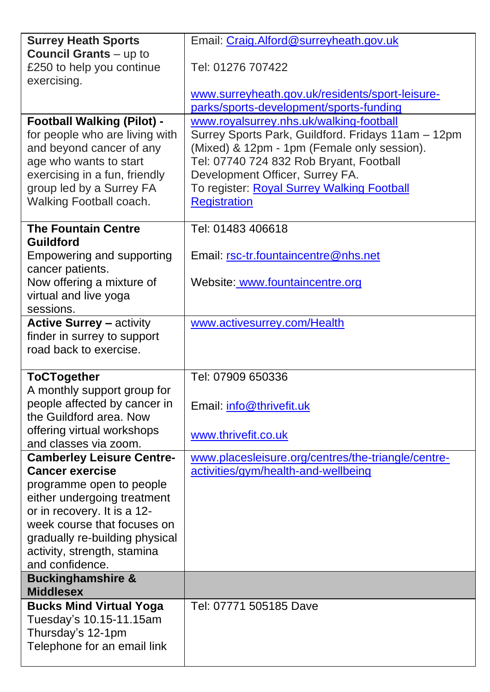| <b>Surrey Heath Sports</b>                                     | Email: Craig.Alford@surreyheath.gov.uk                                                        |  |  |  |
|----------------------------------------------------------------|-----------------------------------------------------------------------------------------------|--|--|--|
| <b>Council Grants</b> – up to                                  |                                                                                               |  |  |  |
| £250 to help you continue                                      | Tel: 01276 707422                                                                             |  |  |  |
| exercising.                                                    |                                                                                               |  |  |  |
|                                                                | www.surreyheath.gov.uk/residents/sport-leisure-                                               |  |  |  |
| <b>Football Walking (Pilot) -</b>                              | parks/sports-development/sports-funding                                                       |  |  |  |
| for people who are living with                                 | www.royalsurrey.nhs.uk/walking-football<br>Surrey Sports Park, Guildford. Fridays 11am - 12pm |  |  |  |
| and beyond cancer of any                                       | (Mixed) & 12pm - 1pm (Female only session).                                                   |  |  |  |
| age who wants to start                                         | Tel: 07740 724 832 Rob Bryant, Football                                                       |  |  |  |
| exercising in a fun, friendly                                  | Development Officer, Surrey FA.                                                               |  |  |  |
| group led by a Surrey FA                                       | To register: Royal Surrey Walking Football                                                    |  |  |  |
| Walking Football coach.                                        | <b>Registration</b>                                                                           |  |  |  |
|                                                                |                                                                                               |  |  |  |
| <b>The Fountain Centre</b>                                     | Tel: 01483 406618                                                                             |  |  |  |
| <b>Guildford</b>                                               |                                                                                               |  |  |  |
| Empowering and supporting                                      | Email: rsc-tr.fountaincentre@nhs.net                                                          |  |  |  |
| cancer patients.                                               |                                                                                               |  |  |  |
| Now offering a mixture of                                      | Website: www.fountaincentre.org                                                               |  |  |  |
| virtual and live yoga                                          |                                                                                               |  |  |  |
| sessions.                                                      |                                                                                               |  |  |  |
| <b>Active Surrey - activity</b><br>finder in surrey to support | www.activesurrey.com/Health                                                                   |  |  |  |
| road back to exercise.                                         |                                                                                               |  |  |  |
|                                                                |                                                                                               |  |  |  |
| <b>ToCTogether</b>                                             | Tel: 07909 650336                                                                             |  |  |  |
| A monthly support group for                                    |                                                                                               |  |  |  |
| people affected by cancer in                                   | Email: info@thrivefit.uk                                                                      |  |  |  |
| the Guildford area. Now                                        |                                                                                               |  |  |  |
| offering virtual workshops                                     | www.thrivefit.co.uk                                                                           |  |  |  |
| and classes via zoom.                                          |                                                                                               |  |  |  |
| <b>Camberley Leisure Centre-</b>                               | www.placesleisure.org/centres/the-triangle/centre-                                            |  |  |  |
| <b>Cancer exercise</b>                                         | activities/gym/health-and-wellbeing                                                           |  |  |  |
| programme open to people                                       |                                                                                               |  |  |  |
| either undergoing treatment<br>or in recovery. It is a 12-     |                                                                                               |  |  |  |
| week course that focuses on                                    |                                                                                               |  |  |  |
| gradually re-building physical                                 |                                                                                               |  |  |  |
| activity, strength, stamina                                    |                                                                                               |  |  |  |
| and confidence.                                                |                                                                                               |  |  |  |
| <b>Buckinghamshire &amp;</b>                                   |                                                                                               |  |  |  |
| <b>Middlesex</b>                                               |                                                                                               |  |  |  |
| <b>Bucks Mind Virtual Yoga</b>                                 |                                                                                               |  |  |  |
|                                                                | Tel: 07771 505185 Dave                                                                        |  |  |  |
| Tuesday's 10.15-11.15am                                        |                                                                                               |  |  |  |
| Thursday's 12-1pm                                              |                                                                                               |  |  |  |
| Telephone for an email link                                    |                                                                                               |  |  |  |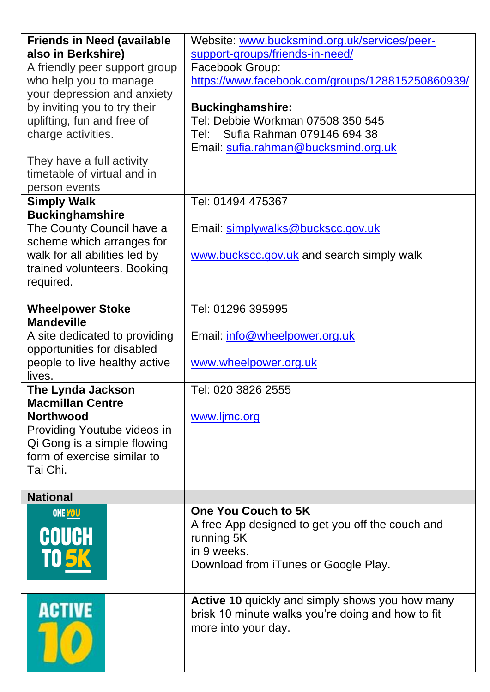| <b>Friends in Need (available</b> | Website: www.bucksmind.org.uk/services/peer-      |  |  |
|-----------------------------------|---------------------------------------------------|--|--|
| also in Berkshire)                | support-groups/friends-in-need/                   |  |  |
| A friendly peer support group     | Facebook Group:                                   |  |  |
| who help you to manage            | https://www.facebook.com/groups/128815250860939/  |  |  |
| your depression and anxiety       |                                                   |  |  |
| by inviting you to try their      | <b>Buckinghamshire:</b>                           |  |  |
| uplifting, fun and free of        | Tel: Debbie Workman 07508 350 545                 |  |  |
| charge activities.                | Sufia Rahman 079146 694 38<br>Tel: I              |  |  |
|                                   | Email: sufia.rahman@bucksmind.org.uk              |  |  |
| They have a full activity         |                                                   |  |  |
| timetable of virtual and in       |                                                   |  |  |
| person events                     |                                                   |  |  |
| <b>Simply Walk</b>                | Tel: 01494 475367                                 |  |  |
| <b>Buckinghamshire</b>            |                                                   |  |  |
| The County Council have a         | Email: simplywalks@buckscc.gov.uk                 |  |  |
| scheme which arranges for         |                                                   |  |  |
| walk for all abilities led by     | www.buckscc.gov.uk and search simply walk         |  |  |
| trained volunteers. Booking       |                                                   |  |  |
| required.                         |                                                   |  |  |
|                                   |                                                   |  |  |
| <b>Wheelpower Stoke</b>           | Tel: 01296 395995                                 |  |  |
| <b>Mandeville</b>                 |                                                   |  |  |
| A site dedicated to providing     | Email: info@wheelpower.org.uk                     |  |  |
| opportunities for disabled        |                                                   |  |  |
| people to live healthy active     |                                                   |  |  |
| lives.                            | www.wheelpower.org.uk                             |  |  |
| The Lynda Jackson                 | Tel: 020 3826 2555                                |  |  |
| <b>Macmillan Centre</b>           |                                                   |  |  |
| <b>Northwood</b>                  | www.ljmc.org                                      |  |  |
| Providing Youtube videos in       |                                                   |  |  |
| Qi Gong is a simple flowing       |                                                   |  |  |
| form of exercise similar to       |                                                   |  |  |
| Tai Chi.                          |                                                   |  |  |
|                                   |                                                   |  |  |
| <b>National</b>                   |                                                   |  |  |
|                                   | One You Couch to 5K                               |  |  |
| ONE YOU                           |                                                   |  |  |
| COUCH                             | A free App designed to get you off the couch and  |  |  |
|                                   | running 5K                                        |  |  |
| <b>TO5</b>                        | in 9 weeks.                                       |  |  |
|                                   | Download from iTunes or Google Play.              |  |  |
|                                   |                                                   |  |  |
|                                   | Active 10 quickly and simply shows you how many   |  |  |
| <b>ACTIVE</b>                     | brisk 10 minute walks you're doing and how to fit |  |  |
|                                   | more into your day.                               |  |  |
|                                   |                                                   |  |  |
|                                   |                                                   |  |  |
|                                   |                                                   |  |  |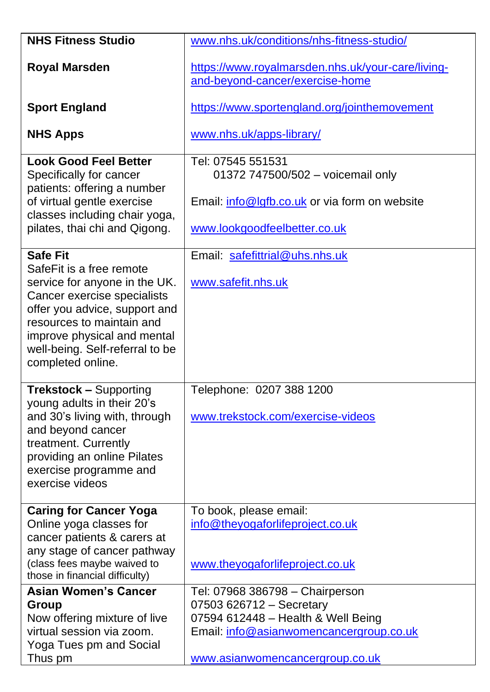| <b>NHS Fitness Studio</b>                                                                                                                                                                                                                     | www.nhs.uk/conditions/nhs-fitness-studio/                                                                                                                                       |  |  |
|-----------------------------------------------------------------------------------------------------------------------------------------------------------------------------------------------------------------------------------------------|---------------------------------------------------------------------------------------------------------------------------------------------------------------------------------|--|--|
| <b>Royal Marsden</b>                                                                                                                                                                                                                          | https://www.royalmarsden.nhs.uk/your-care/living-<br>and-beyond-cancer/exercise-home                                                                                            |  |  |
| <b>Sport England</b>                                                                                                                                                                                                                          | https://www.sportengland.org/jointhemovement                                                                                                                                    |  |  |
| <b>NHS Apps</b>                                                                                                                                                                                                                               | www.nhs.uk/apps-library/                                                                                                                                                        |  |  |
| <b>Look Good Feel Better</b><br>Specifically for cancer<br>patients: offering a number<br>of virtual gentle exercise                                                                                                                          | Tel: 07545 551531<br>01372 747500/502 - voicemail only<br>Email: info@lgfb.co.uk or via form on website                                                                         |  |  |
| classes including chair yoga,<br>pilates, thai chi and Qigong.                                                                                                                                                                                | www.lookgoodfeelbetter.co.uk                                                                                                                                                    |  |  |
| <b>Safe Fit</b>                                                                                                                                                                                                                               | Email: safefittrial@uhs.nhs.uk                                                                                                                                                  |  |  |
| SafeFit is a free remote<br>service for anyone in the UK.<br>Cancer exercise specialists<br>offer you advice, support and<br>resources to maintain and<br>improve physical and mental<br>well-being. Self-referral to be<br>completed online. | www.safefit.nhs.uk                                                                                                                                                              |  |  |
| <b>Trekstock - Supporting</b><br>young adults in their 20's<br>and 30's living with, through<br>and beyond cancer<br>treatment. Currently<br>providing an online Pilates<br>exercise programme and<br>exercise videos                         | Telephone: 0207 388 1200<br>www.trekstock.com/exercise-videos                                                                                                                   |  |  |
| <b>Caring for Cancer Yoga</b><br>Online yoga classes for<br>cancer patients & carers at<br>any stage of cancer pathway<br>(class fees maybe waived to<br>those in financial difficulty)                                                       | To book, please email:<br>info@theyogaforlifeproject.co.uk<br>www.theyogaforlifeproject.co.uk                                                                                   |  |  |
| <b>Asian Women's Cancer</b><br>Group<br>Now offering mixture of live<br>virtual session via zoom.<br>Yoga Tues pm and Social<br>Thus pm                                                                                                       | Tel: 07968 386798 - Chairperson<br>07503 626712 - Secretary<br>07594 612448 - Health & Well Being<br>Email: info@asianwomencancergroup.co.uk<br>www.asianwomencancergroup.co.uk |  |  |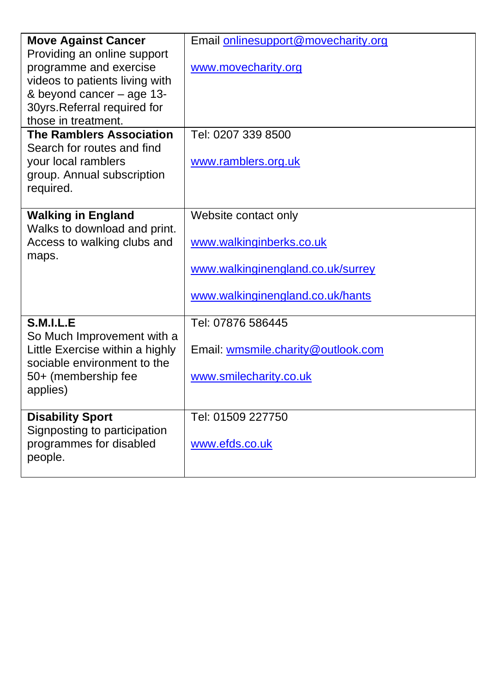| <b>Move Against Cancer</b>      | Email onlinesupport@movecharity.org |
|---------------------------------|-------------------------------------|
| Providing an online support     |                                     |
| programme and exercise          | www.movecharity.org                 |
| videos to patients living with  |                                     |
| & beyond cancer - age 13-       |                                     |
| 30yrs.Referral required for     |                                     |
| those in treatment.             |                                     |
| <b>The Ramblers Association</b> | Tel: 0207 339 8500                  |
| Search for routes and find      |                                     |
| your local ramblers             | www.ramblers.org.uk                 |
| group. Annual subscription      |                                     |
| required.                       |                                     |
|                                 |                                     |
| <b>Walking in England</b>       | Website contact only                |
| Walks to download and print.    |                                     |
| Access to walking clubs and     | www.walkinginberks.co.uk            |
| maps.                           |                                     |
|                                 | www.walkinginengland.co.uk/surrey   |
|                                 | www.walkinginengland.co.uk/hants    |
|                                 |                                     |
| <b>S.M.I.L.E</b>                | Tel: 07876 586445                   |
| So Much Improvement with a      |                                     |
| Little Exercise within a highly | Email: wmsmile.charity@outlook.com  |
| sociable environment to the     |                                     |
| 50+ (membership fee             | www.smilecharity.co.uk              |
| applies)                        |                                     |
|                                 |                                     |
| <b>Disability Sport</b>         | Tel: 01509 227750                   |
| Signposting to participation    |                                     |
| programmes for disabled         | www.efds.co.uk                      |
| people.                         |                                     |
|                                 |                                     |